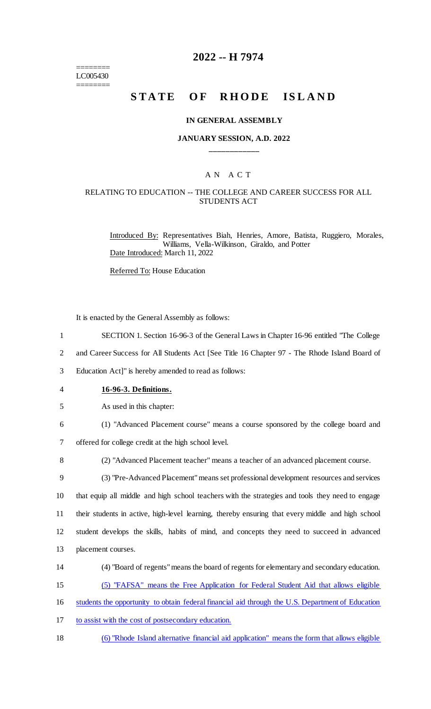======== LC005430 ========

## **2022 -- H 7974**

# **STATE OF RHODE ISLAND**

#### **IN GENERAL ASSEMBLY**

#### **JANUARY SESSION, A.D. 2022 \_\_\_\_\_\_\_\_\_\_\_\_**

## A N A C T

#### RELATING TO EDUCATION -- THE COLLEGE AND CAREER SUCCESS FOR ALL STUDENTS ACT

Introduced By: Representatives Biah, Henries, Amore, Batista, Ruggiero, Morales, Williams, Vella-Wilkinson, Giraldo, and Potter Date Introduced: March 11, 2022

Referred To: House Education

It is enacted by the General Assembly as follows:

- 1 SECTION 1. Section 16-96-3 of the General Laws in Chapter 16-96 entitled "The College
- 2 and Career Success for All Students Act [See Title 16 Chapter 97 The Rhode Island Board of

3 Education Act]" is hereby amended to read as follows:

- 4 **16-96-3. Definitions.**
- 5 As used in this chapter:
- 6 (1) "Advanced Placement course" means a course sponsored by the college board and

7 offered for college credit at the high school level.

8 (2) "Advanced Placement teacher" means a teacher of an advanced placement course.

 (3) "Pre-Advanced Placement" means set professional development resources and services that equip all middle and high school teachers with the strategies and tools they need to engage their students in active, high-level learning, thereby ensuring that every middle and high school student develops the skills, habits of mind, and concepts they need to succeed in advanced placement courses.

- 14 (4) "Board of regents" means the board of regents for elementary and secondary education.
- 15 (5) "FAFSA" means the Free Application for Federal Student Aid that allows eligible

16 students the opportunity to obtain federal financial aid through the U.S. Department of Education

- 17 to assist with the cost of postsecondary education.
- 18 (6) "Rhode Island alternative financial aid application" means the form that allows eligible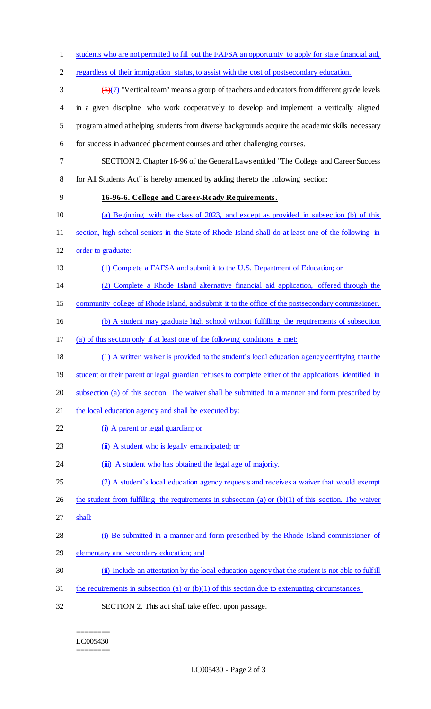students who are not permitted to fill out the FAFSA an opportunity to apply for state financial aid, regardless of their immigration status, to assist with the cost of postsecondary education.  $\left(\frac{5}{7}\right)$  "Vertical team" means a group of teachers and educators from different grade levels in a given discipline who work cooperatively to develop and implement a vertically aligned program aimed at helping students from diverse backgrounds acquire the academic skills necessary for success in advanced placement courses and other challenging courses. SECTION 2. Chapter 16-96 of the General Laws entitled "The College and Career Success for All Students Act" is hereby amended by adding thereto the following section: **16-96-6. College and Career-Ready Requirements.** (a) Beginning with the class of 2023, and except as provided in subsection (b) of this section, high school seniors in the State of Rhode Island shall do at least one of the following in order to graduate: (1) Complete a FAFSA and submit it to the U.S. Department of Education; or (2) Complete a Rhode Island alternative financial aid application, offered through the community college of Rhode Island, and submit it to the office of the postsecondary commissioner. (b) A student may graduate high school without fulfilling the requirements of subsection (a) of this section only if at least one of the following conditions is met: (1) A written waiver is provided to the student's local education agency certifying that the 19 student or their parent or legal guardian refuses to complete either of the applications identified in subsection (a) of this section. The waiver shall be submitted in a manner and form prescribed by 21 the local education agency and shall be executed by: 22 (i) A parent or legal guardian; or 23 (ii) A student who is legally emancipated; or 24 (iii) A student who has obtained the legal age of majority. 25 (2) A student's local education agency requests and receives a waiver that would exempt 26 the student from fulfilling the requirements in subsection (a) or  $(b)(1)$  of this section. The waiver shall: (i) Be submitted in a manner and form prescribed by the Rhode Island commissioner of elementary and secondary education; and (ii) Include an attestation by the local education agency that the student is not able to fulfill the requirements in subsection (a) or (b)(1) of this section due to extenuating circumstances. SECTION 2. This act shall take effect upon passage.

======== LC005430 ========